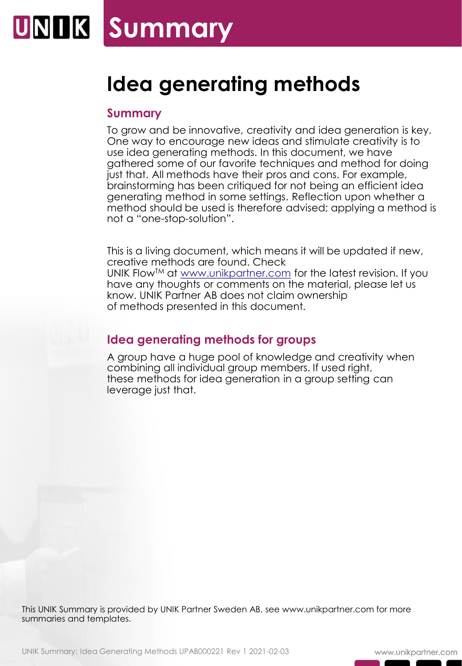# **Idea generating methods**

### **Summary**

To grow and be innovative, creativity and idea generation is key. One way to encourage new ideas and stimulate creativity is to use idea generating methods. In this document, we have gathered some of our favorite techniques and method for doing just that. All methods have their pros and cons. For example, brainstorming has been critiqued for not being an efficient idea generating method in some settings. Reflection upon whether a method should be used is therefore advised; applying a method is not a "one-stop-solution".

This is a living document, which means it will be updated if new, creative methods are found. Check UNIK Flow<sup>TM</sup> at [www.unikpartner.com](http://www.unikpartner.com/) for the latest revision. If you have any thoughts or comments on the material, please let us know. UNIK Partner AB does not claim ownership of methods presented in this document.

# **Idea generating methods for groups**

A group have a huge pool of knowledge and creativity when combining all individual group members. If used right, these methods for idea generation in a group setting can leverage just that.

This UNIK Summary is provided by UNIK Partner Sweden AB, see www.unikpartner.com for more summaries and templates.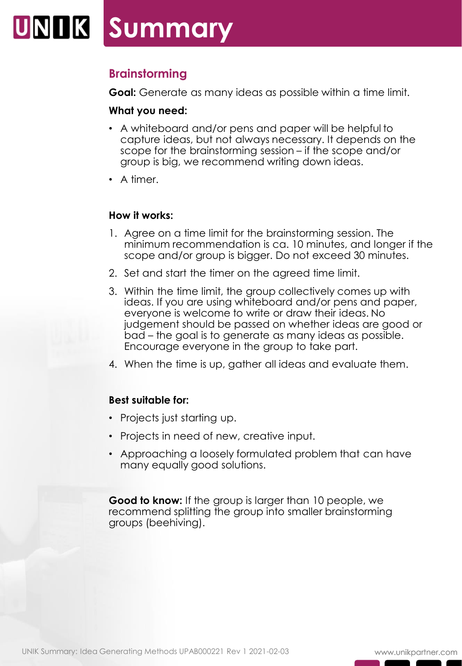# **Brainstorming**

**Goal:** Generate as many ideas as possible within a time limit.

#### **What you need:**

- A whiteboard and/or pens and paper will be helpful to capture ideas, but not always necessary. It depends on the scope for the brainstorming session – if the scope and/or group is big, we recommend writing down ideas.
- A timer.

#### **How it works:**

- 1. Agree on a time limit for the brainstorming session. The minimum recommendation is ca. 10 minutes, and longer if the scope and/or group is bigger. Do not exceed 30 minutes.
- 2. Set and start the timer on the agreed time limit.
- 3. Within the time limit, the group collectively comes up with ideas. If you are using whiteboard and/or pens and paper, everyone is welcome to write or draw their ideas. No judgement should be passed on whether ideas are good or bad – the goal is to generate as many ideas as possible. Encourage everyone in the group to take part.
- 4. When the time is up, gather all ideas and evaluate them.

### **Best suitable for:**

- Projects just starting up.
- Projects in need of new, creative input.
- Approaching a loosely formulated problem that can have many equally good solutions.

**Good to know:** If the group is larger than 10 people, we recommend splitting the group into smaller brainstorming groups (beehiving).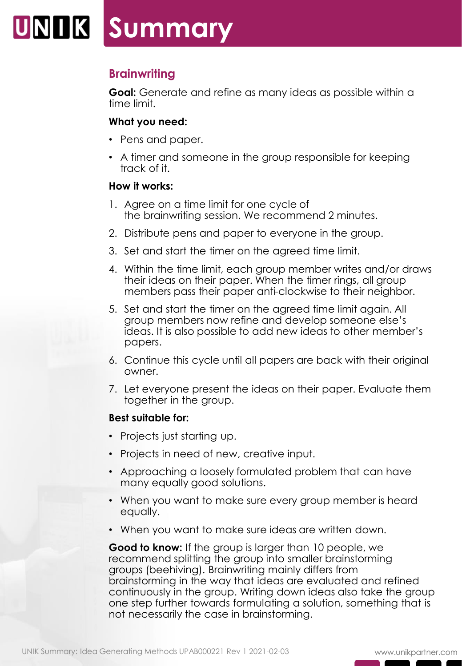# UNIIK Summary

# **Brainwriting**

**Goal:** Generate and refine as many ideas as possible within a time limit.

### **What you need:**

- Pens and paper.
- A timer and someone in the group responsible for keeping track of it.

### **How it works:**

- 1. Agree on a time limit for one cycle of the brainwriting session. We recommend 2 minutes.
- 2. Distribute pens and paper to everyone in the group.
- 3. Set and start the timer on the agreed time limit.
- 4. Within the time limit, each group member writes and/or draws their ideas on their paper. When the timer rings, all group members pass their paper anti-clockwise to their neighbor.
- 5. Set and start the timer on the agreed time limit again. All group members now refine and develop someone else's ideas. It is also possible to add new ideas to other member's papers.
- 6. Continue this cycle until all papers are back with their original owner.
- 7. Let everyone present the ideas on their paper. Evaluate them together in the group.

### **Best suitable for:**

- Projects just starting up.
- Projects in need of new, creative input.
- Approaching a loosely formulated problem that can have many equally good solutions.
- When you want to make sure every group member is heard equally.
- When you want to make sure ideas are written down.

**Good to know:** If the group is larger than 10 people, we recommend splitting the group into smaller brainstorming groups (beehiving). Brainwriting mainly differs from brainstorming in the way that ideas are evaluated and refined continuously in the group. Writing down ideas also take the group one step further towards formulating a solution, something that is not necessarily the case in brainstorming.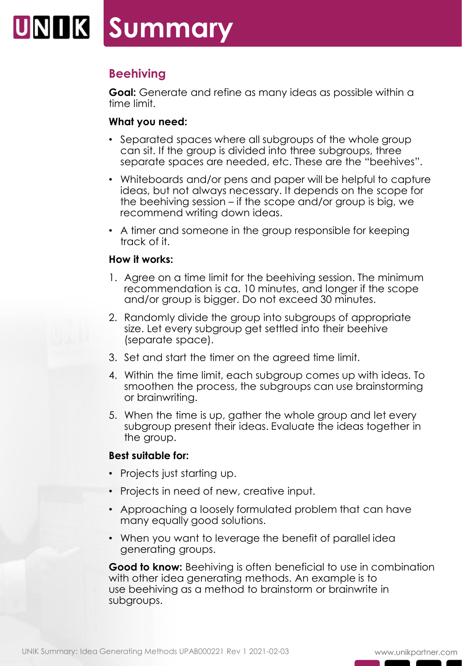# **Beehiving**

**Goal:** Generate and refine as many ideas as possible within a time limit.

### **What you need:**

- Separated spaces where all subgroups of the whole group can sit. If the group is divided into three subgroups, three separate spaces are needed, etc. These are the "beehives".
- Whiteboards and/or pens and paper will be helpful to capture ideas, but not always necessary. It depends on the scope for the beehiving session – if the scope and/or group is big, we recommend writing down ideas.
- A timer and someone in the group responsible for keeping track of it.

#### **How it works:**

- 1. Agree on a time limit for the beehiving session. The minimum recommendation is ca. 10 minutes, and longer if the scope and/or group is bigger. Do not exceed 30 minutes.
- 2. Randomly divide the group into subgroups of appropriate size. Let every subgroup get settled into their beehive (separate space).
- 3. Set and start the timer on the agreed time limit.
- 4. Within the time limit, each subgroup comes up with ideas. To smoothen the process, the subgroups can use brainstorming or brainwriting.
- 5. When the time is up, gather the whole group and let every subgroup present their ideas. Evaluate the ideas together in the group.

### **Best suitable for:**

- Projects just starting up.
- Projects in need of new, creative input.
- Approaching a loosely formulated problem that can have many equally good solutions.
- When you want to leverage the benefit of parallel idea generating groups.

**Good to know:** Beehiving is often beneficial to use in combination with other idea generating methods. An example is to use beehiving as a method to brainstorm or brainwrite in subgroups.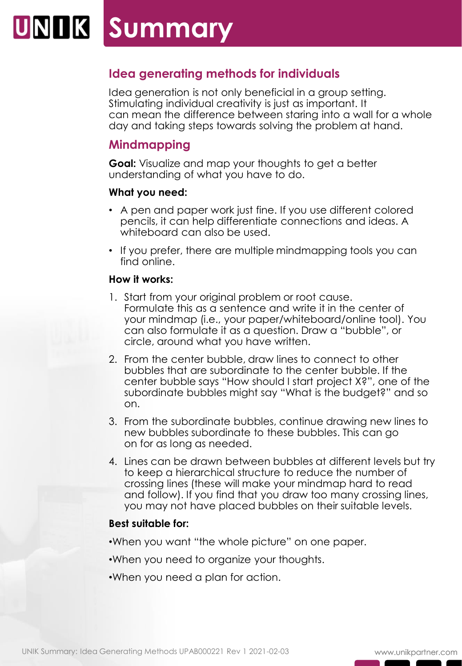# **Idea generating methods for individuals**

Idea generation is not only beneficial in a group setting. Stimulating individual creativity is just as important. It can mean the difference between staring into a wall for a whole day and taking steps towards solving the problem at hand.

# **Mindmapping**

**Goal:** Visualize and map your thoughts to get a better understanding of what you have to do.

### **What you need:**

- A pen and paper work just fine. If you use different colored pencils, it can help differentiate connections and ideas. A whiteboard can also be used.
- If you prefer, there are multiple mindmapping tools you can find online.

### **How it works:**

- 1. Start from your original problem or root cause. Formulate this as a sentence and write it in the center of your mindmap (i.e., your paper/whiteboard/online tool). You can also formulate it as a question. Draw a "bubble", or circle, around what you have written.
- 2. From the center bubble, draw lines to connect to other bubbles that are subordinate to the center bubble. If the center bubble says "How should I start project X?", one of the subordinate bubbles might say "What is the budget?" and so on.
- 3. From the subordinate bubbles, continue drawing new lines to new bubbles subordinate to these bubbles. This can go on for as long as needed.
- 4. Lines can be drawn between bubbles at different levels but try to keep a hierarchical structure to reduce the number of crossing lines (these will make your mindmap hard to read and follow). If you find that you draw too many crossing lines, you may not have placed bubbles on their suitable levels.

### **Best suitable for:**

- •When you want "the whole picture" on one paper.
- •When you need to organize your thoughts.
- •When you need a plan for action.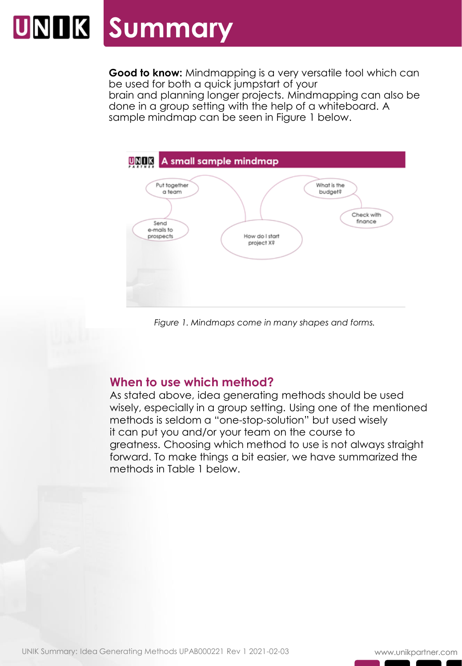# **UNIK Summary**

**Good to know:** Mindmapping is a very versatile tool which can be used for both a quick jumpstart of your brain and planning longer projects. Mindmapping can also be done in a group setting with the help of a whiteboard. A sample mindmap can be seen in Figure 1 below.



# **When to use which method?**

Figure 1. Mindmaps come in many shapes and forms.<br> **When to use which method?**<br>
As stated above, Idea generating methods should be<br>
wisely, especially in a group setting. Using one of the methods is seldom a "one-stop-solu As stated above, idea generating methods should be used wisely, especially in a group setting. Using one of the mentioned methods is seldom a "one-stop-solution" but used wisely it can put you and/or your team on the course to greatness. Choosing which method to use is not always straight forward. To make things a bit easier, we have summarized the methods in Table 1 below.